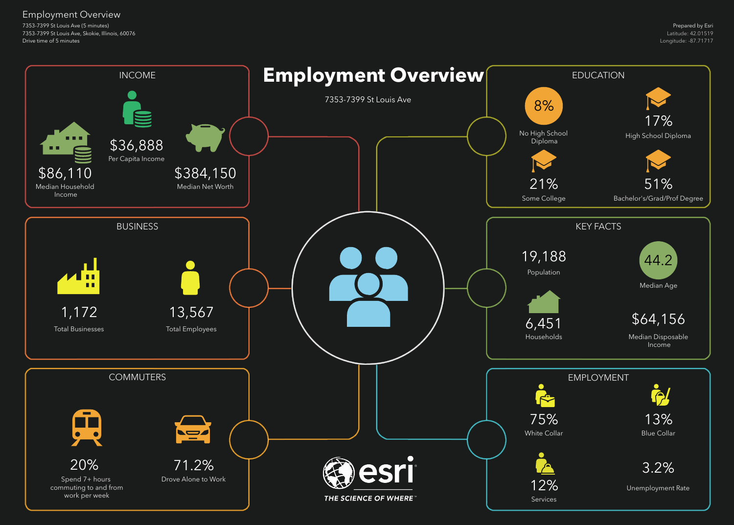7353-7399 St Louis Ave (5 minutes) 7353-7399 St Louis Ave, Skokie, Illinois, 60076 Drive time of 5 minutes

## Employment Overview

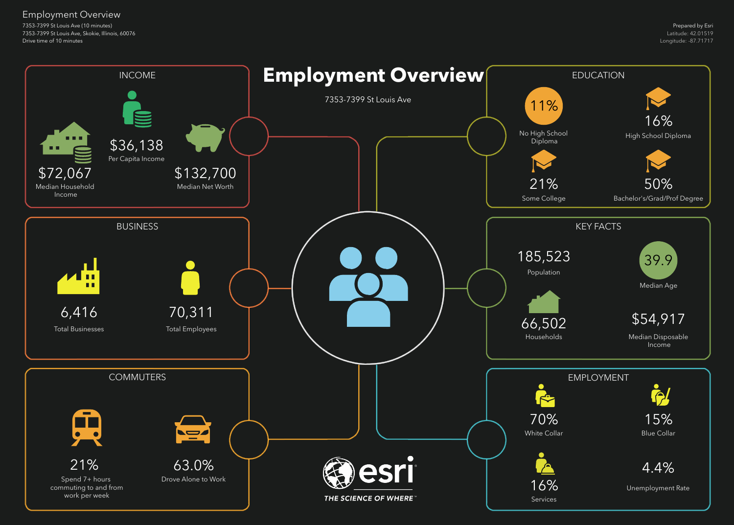7353-7399 St Louis Ave (10 minutes) 7353-7399 St Louis Ave, Skokie, Illinois, 60076 Drive time of 10 minutes

## Employment Overview

![](_page_1_Figure_2.jpeg)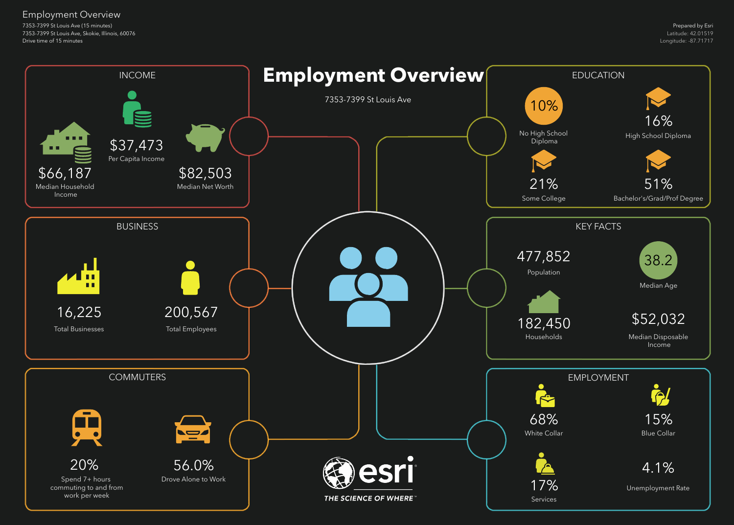7353-7399 St Louis Ave (15 minutes) 7353-7399 St Louis Ave, Skokie, Illinois, 60076 Drive time of 15 minutes

## Employment Overview

![](_page_2_Figure_2.jpeg)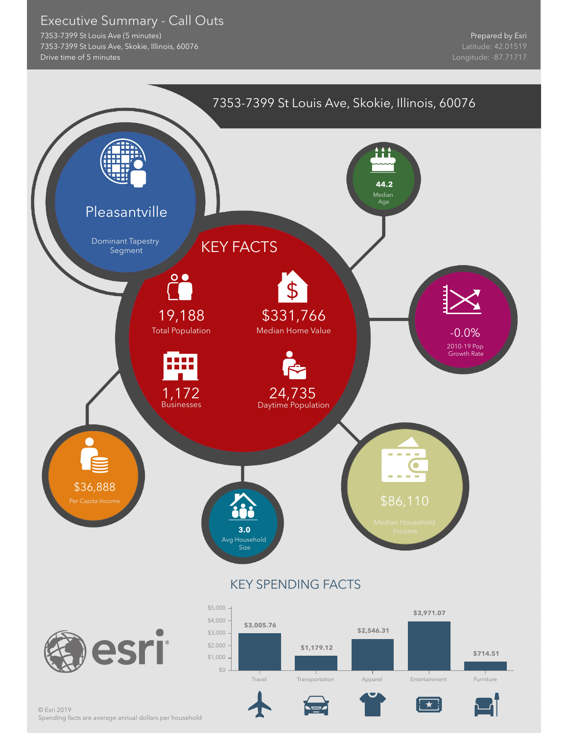## Executive Summary - Call Outs

7353-7399 St Louis Ave (5 minutes) 7353-7399 St Louis Ave, Skokie, Illinois, 60076 Drive time of 5 minutes

![](_page_3_Figure_3.jpeg)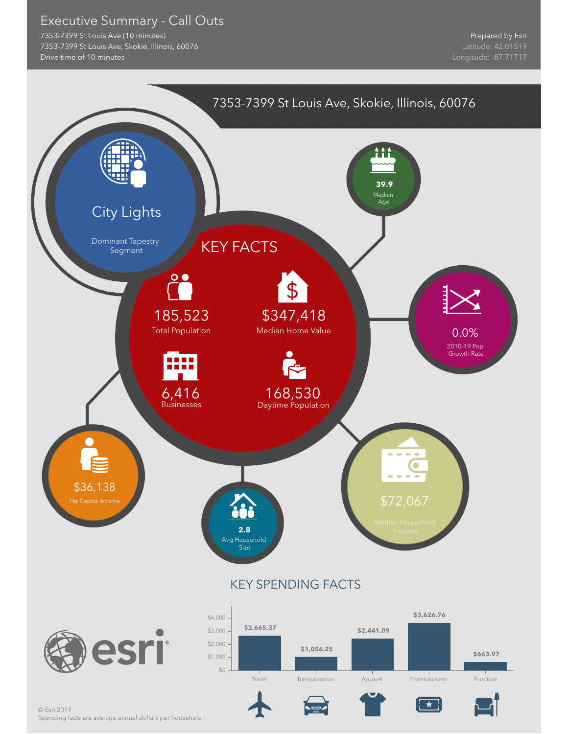## Executive Summary - Call Outs

7353-7399 St Louis Ave (10 minutes) 7353-7399 St Louis Ave, Skokie, Illinois, 60076 Drive time of 10 minutes

![](_page_4_Figure_3.jpeg)

Spending facts are average annual dollars per household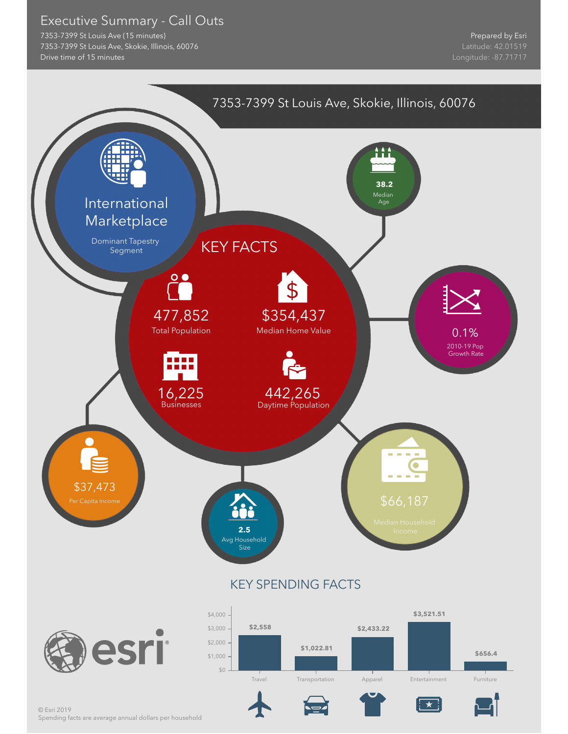## Executive Summary - Call Outs

7353-7399 St Louis Ave (15 minutes) 7353-7399 St Louis Ave, Skokie, Illinois, 60076 Drive time of 15 minutes

![](_page_5_Figure_3.jpeg)

Spending facts are average annual dollars per household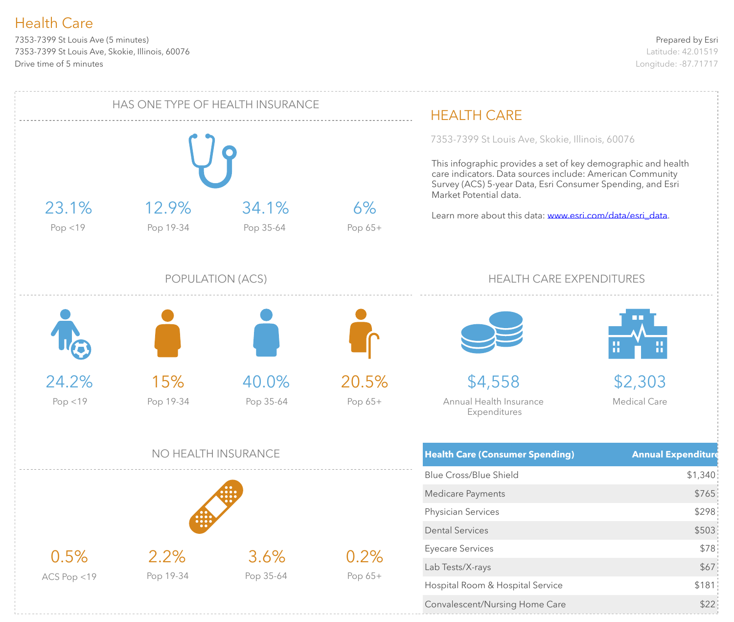7353-7399 St Louis Ave (5 minutes) 7353-7399 St Louis Ave, Skokie, Illinois, 60076 Drive time of 5 minutes

![](_page_6_Figure_3.jpeg)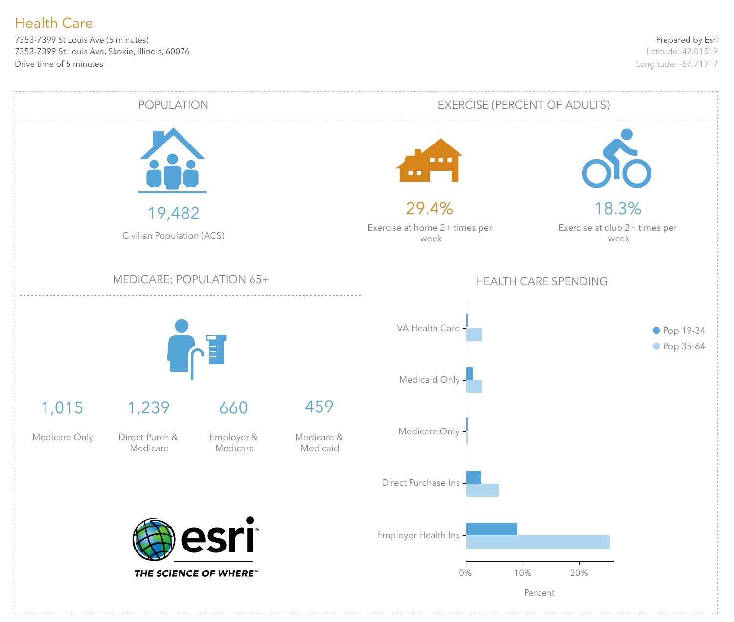7353-7399 St Louis Ave (5 minutes) 7353-7399 St Louis Ave, Skokie, Illinois, 60076 Drive time of 5 minutes

![](_page_7_Figure_3.jpeg)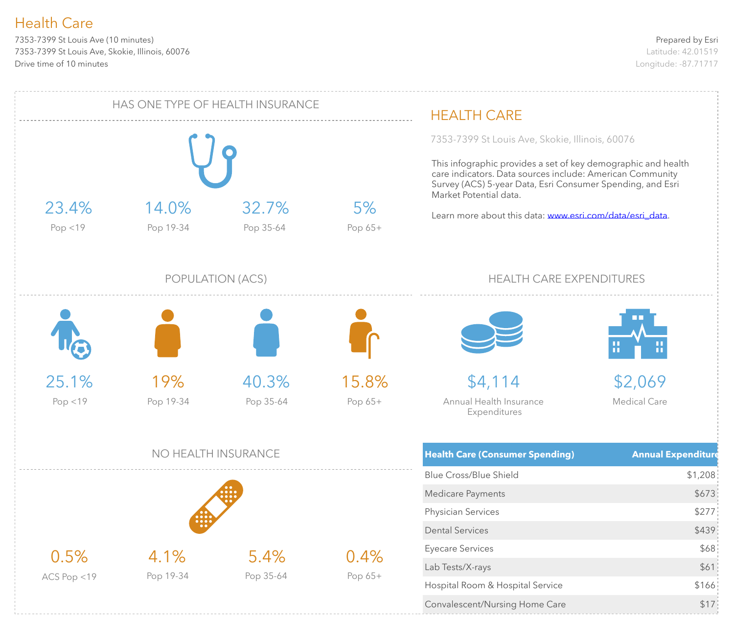7353-7399 St Louis Ave (10 minutes) 7353-7399 St Louis Ave, Skokie, Illinois, 60076 Drive time of 10 minutes

![](_page_8_Figure_3.jpeg)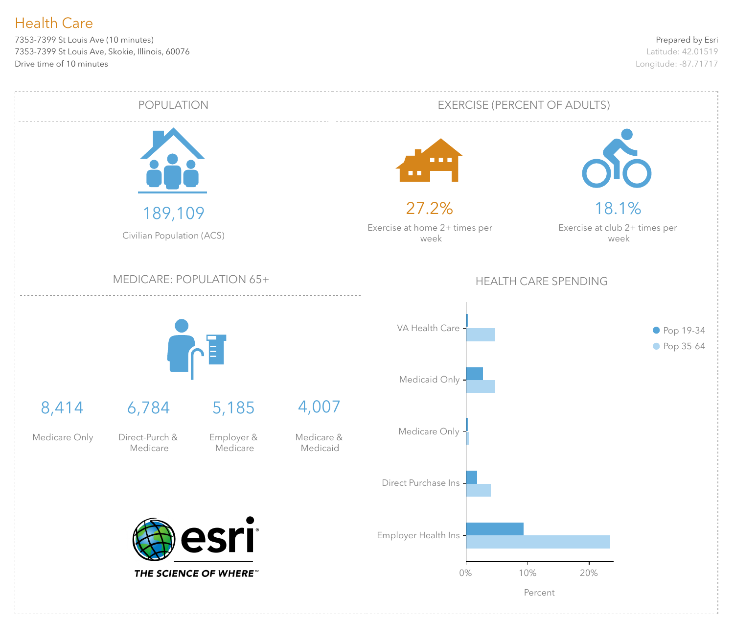7353-7399 St Louis Ave (10 minutes) 7353-7399 St Louis Ave, Skokie, Illinois, 60076 Drive time of 10 minutes

![](_page_9_Figure_3.jpeg)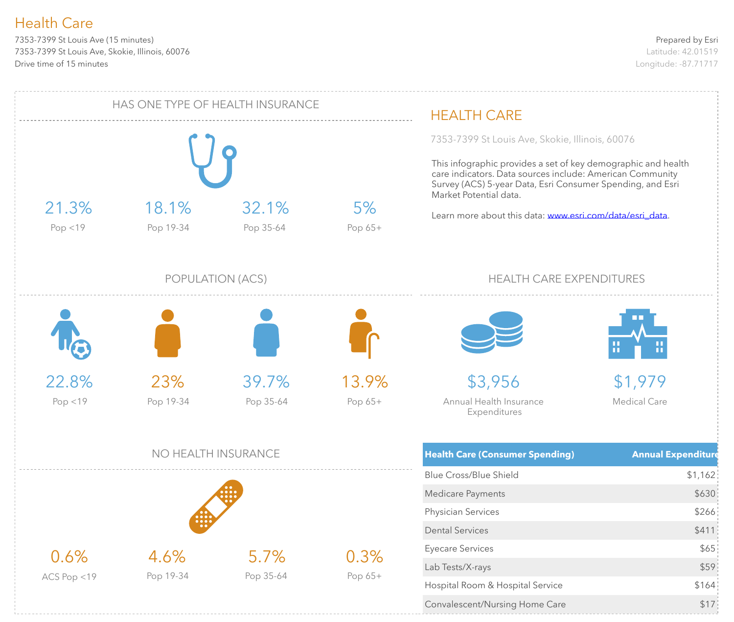7353-7399 St Louis Ave (15 minutes) 7353-7399 St Louis Ave, Skokie, Illinois, 60076 Drive time of 15 minutes

![](_page_10_Figure_3.jpeg)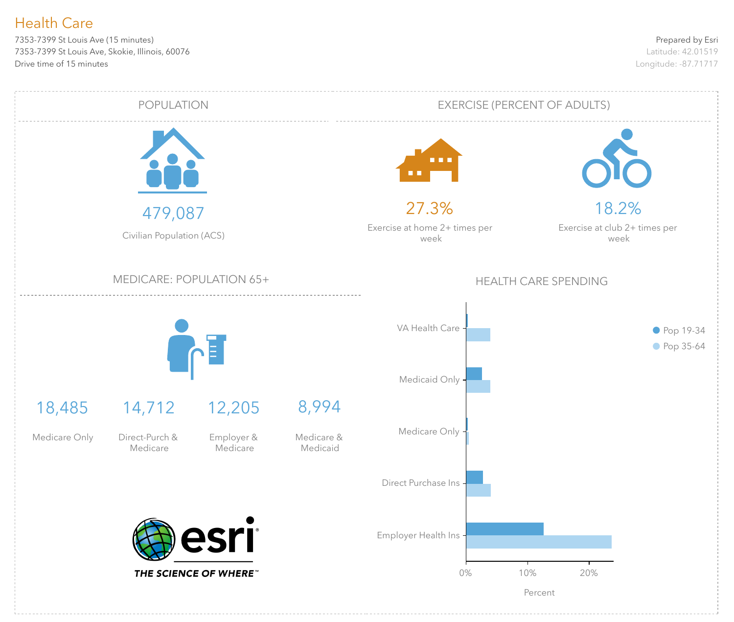7353-7399 St Louis Ave (15 minutes) 7353-7399 St Louis Ave, Skokie, Illinois, 60076 Drive time of 15 minutes

![](_page_11_Figure_3.jpeg)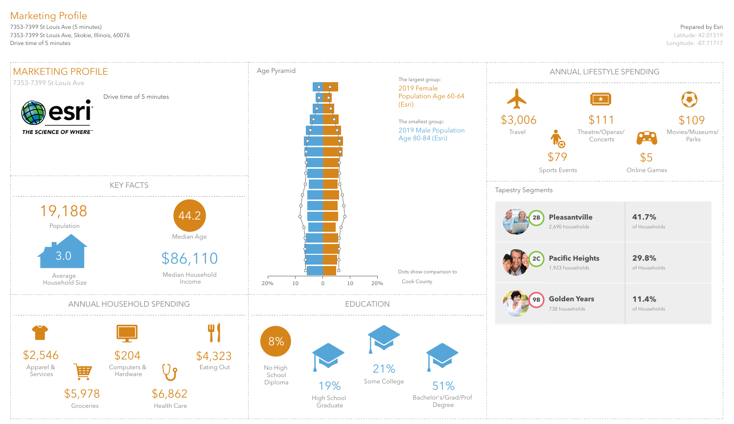## Prepared by Esri

Latitude: 42.01519 Longitude: -87.71717

7353-7399 St Louis Ave (5 minutes) 7353-7399 St Louis Ave, Skokie, Illinois, 60076 Drive time of 5 minutes

# Marketing Profile

![](_page_12_Figure_2.jpeg)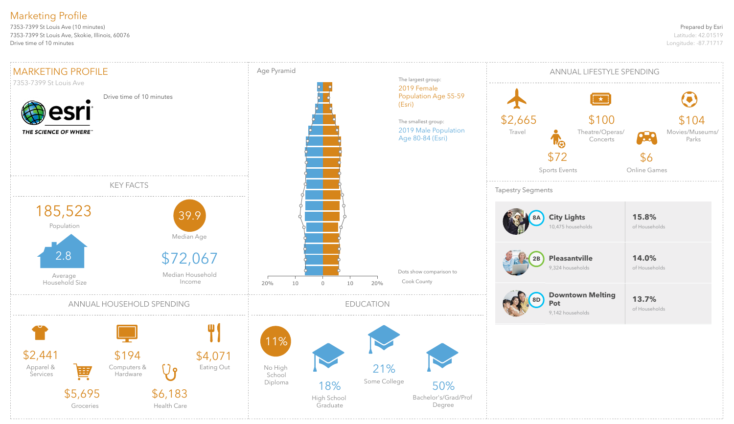### Prepared by Esri

Latitude: 42.01519 Longitude: -87.71717

7353-7399 St Louis Ave (10 minutes) 7353-7399 St Louis Ave, Skokie, Illinois, 60076 Drive time of 10 minutes

# Marketing Profile

![](_page_13_Figure_2.jpeg)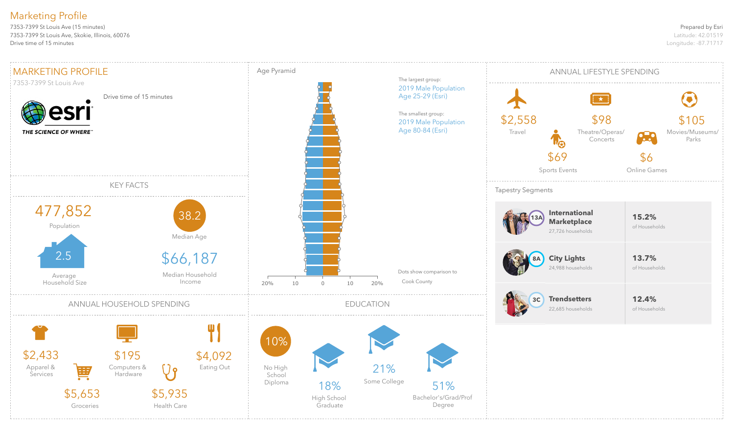### Prepared by Esri

Latitude: 42.01519 Longitude: -87.71717

7353-7399 St Louis Ave (15 minutes) 7353-7399 St Louis Ave, Skokie, Illinois, 60076 Drive time of 15 minutes

# Marketing Profile

![](_page_14_Figure_2.jpeg)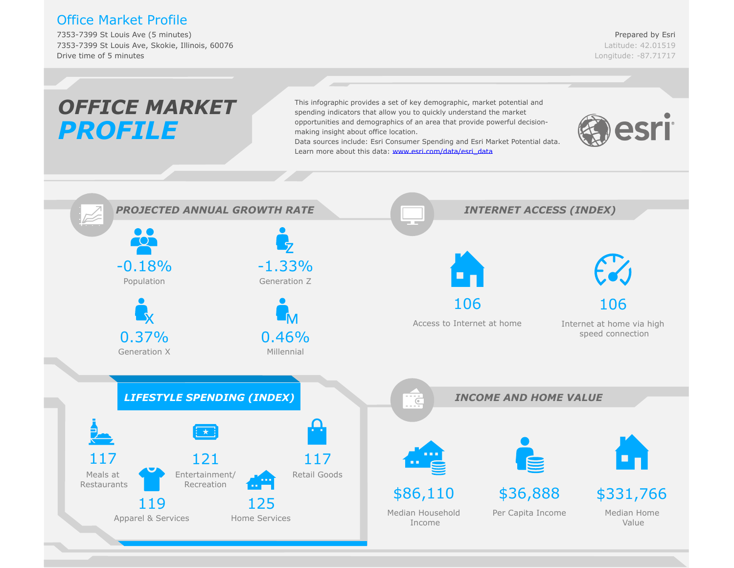## Office Market Profile

7353-7399 St Louis Ave (5 minutes) 7353-7399 St Louis Ave, Skokie, Illinois, 60076 Drive time of 5 minutes

Prepared by Esri Latitude: 42.01519 Longitude: -87.71717

#### *OFFICE MARKET*This infographic provides a set of key demographic, market potential and spending indicators that allow you to quickly understand the market opportunities and demographics of an area that provide powerful decisionesri *PROFILE* making insight about office location. Data sources include: Esri C[onsumer Spending and Esri Market Potential d](www.esri.com/data/esri_data)ata. Learn more about this data: www.esri.com/data/esri\_data *PROJECTED ANNUAL GROWTH RATE INTERNET ACCESS (INDEX)*  $\bullet$   $\bullet$ **TOT** -0.18% -1.33% Population Generation Z 106 106 Access to Internet at home Internet at home via high 0.37% 0.46% speed connection Generation X Millennial *LIFESTYLE SPENDING (INDEX) INCOME AND HOME VALUE*  $\overline{C}$ 117 121 117 Entertainment/ Retail Goods Meals at Recreation Restaurants \$86,110 \$36,888 \$331,766 119 125 Median Home Median Household Per Capita Income Apparel & Services Home Services Value Income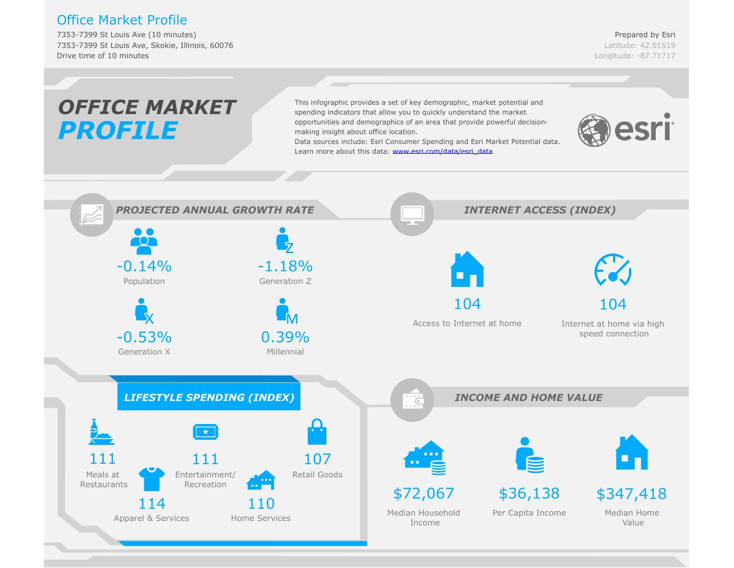## Office Market Profile

7353-7399 St Louis Ave (10 minutes) 7353-7399 St Louis Ave, Skokie, Illinois, 60076 Drive time of 10 minutes

Prepared by Esri Latitude: 42.01519 Longitude: -87.71717

#### *OFFICE MARKET*This infographic provides a set of key demographic, market potential and spending indicators that allow you to quickly understand the market opportunities and demographics of an area that provide powerful decisionesri *PROFILE* making insight about office location. Data sources include: Esri C[onsumer Spending and Esri Market Potential d](www.esri.com/data/esri_data)ata. Learn more about this data: www.esri.com/data/esri\_data *PROJECTED ANNUAL GROWTH RATE INTERNET ACCESS (INDEX)*  $\bullet$   $\bullet$ **TOT** -1.18%  $-0.14%$ Population Generation Z 104 104 Access to Internet at home Internet at home via high -0.53% speed connection 0.39% Generation X Millennial *LIFESTYLE SPENDING (INDEX) INCOME AND HOME VALUE*  $\overline{C}$ 111 111 107 Entertainment/ Retail Goods Meals at Recreation Restaurants \$72,067 \$36,138 \$347,418 114 110 Median Home Median Household Per Capita Income Apparel & Services Home Services Value Income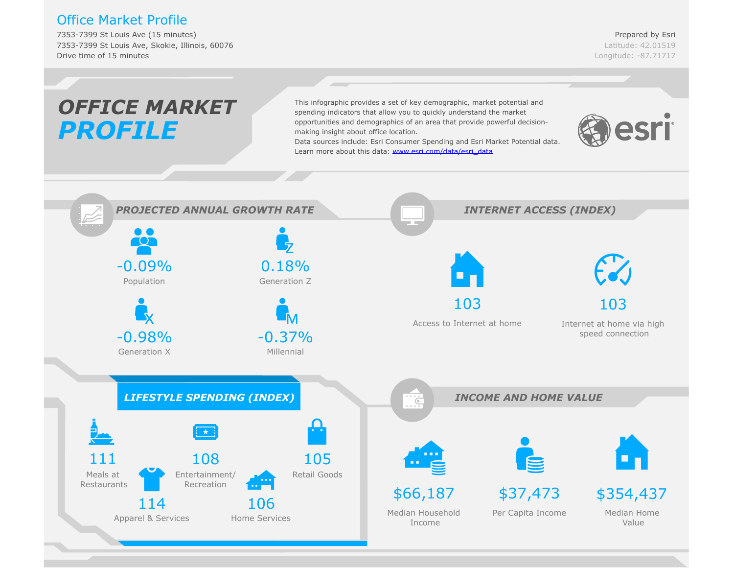## Office Market Profile

7353-7399 St Louis Ave (15 minutes) 7353-7399 St Louis Ave, Skokie, Illinois, 60076 Drive time of 15 minutes

Prepared by Esri Latitude: 42.01519 Longitude: -87.71717

#### *OFFICE MARKET*This infographic provides a set of key demographic, market potential and spending indicators that allow you to quickly understand the market opportunities and demographics of an area that provide powerful decisionesri *PROFILE* making insight about office location. Data sources include: Esri C[onsumer Spending and Esri Market Potential d](www.esri.com/data/esri_data)ata. Learn more about this data: www.esri.com/data/esri\_data *PROJECTED ANNUAL GROWTH RATE INTERNET ACCESS (INDEX)*  $\bullet$   $\bullet$  $\overline{\text{O}}$ -0.09% 0.18% Population Generation Z 103 103 Access to Internet at home Internet at home via high -0.98%  $-0.37%$ speed connection Generation X Millennial *LIFESTYLE SPENDING (INDEX) INCOME AND HOME VALUE*  $\overline{C}$ 111 108 105 Entertainment/ Retail Goods Meals at Restaurants Recreation \$66,187 \$37,473 \$354,437 114 106 Median Home Median Household Per Capita Income Apparel & Services Home Services Value Income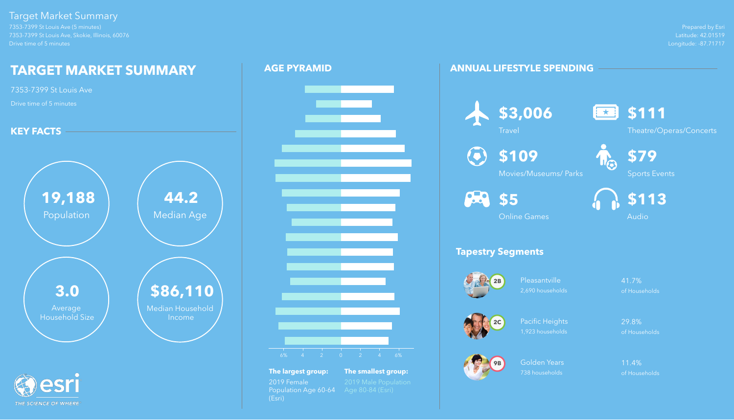Prepared by Esri Latitude: 42.01519 Longitude: -87.71717

![](_page_18_Picture_26.jpeg)

7353-7399 St Louis Ave (5 minutes) 7353-7399 St Louis Ave, Skokie, Illinois, 60076 Drive time of 5 minutes

> Pleasantville 41.7% 2,690 households of Households

# Target Market Summary

Pacific Heights 29.8% 1,923 households of Households

Golden Years 11.4% 738 households of Households

# **ANNUAL LIFESTYLE SPENDING**

# **Tapestry Segments**

![](_page_18_Picture_22.jpeg)

![](_page_18_Picture_9.jpeg)

![](_page_18_Picture_11.jpeg)

![](_page_18_Picture_14.jpeg)

![](_page_18_Picture_15.jpeg)

![](_page_18_Picture_27.jpeg)

Theatre/Operas/Concerts

![](_page_18_Picture_29.jpeg)

**\$109**

Movies/Museums/ Parks

![](_page_18_Picture_30.jpeg)

Sports Events

![](_page_18_Picture_32.jpeg)

![](_page_18_Picture_18.jpeg)

Online Games

![](_page_18_Picture_33.jpeg)

# **AGE PYRAMID**

![](_page_18_Picture_4.jpeg)

![](_page_18_Figure_2.jpeg)

**The largest group: The smallest group:** 2019 Female 2019 Male Population Population Age 60-64 Age 80-84 (Esri) (Esri)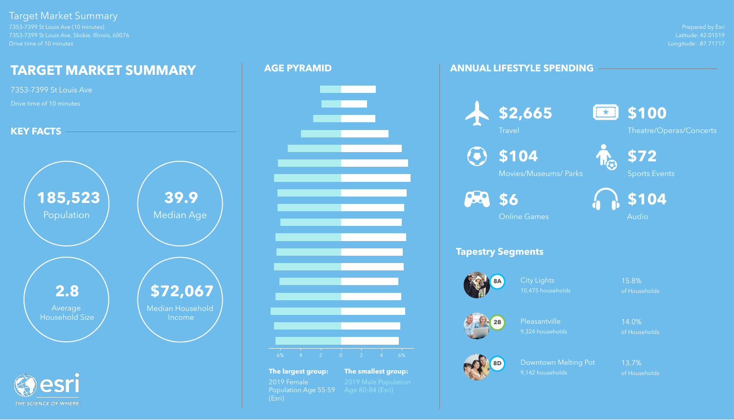Prepared by Esri Latitude: 42.01519 Longitude: -87.71717

![](_page_19_Picture_26.jpeg)

7353-7399 St Louis Ave (10 minutes) 7353-7399 St Louis Ave, Skokie, Illinois, 60076 Drive time of 10 minutes

> City Lights 15.8% 10,475 households of Households

# Target Market Summary

Downtown Melting Pot 13.7% 9,142 households of Households

## **ANNUAL LIFESTYLE SPENDING**

# **Tapestry Segments**

![](_page_19_Picture_18.jpeg)

![](_page_19_Picture_20.jpeg)

Pleasantville 14.0% 9,324 households of Households

![](_page_19_Picture_22.jpeg)

![](_page_19_Picture_10.jpeg)

 $\left( \bullet \right)$ 

![](_page_19_Picture_27.jpeg)

Theatre/Operas/Concerts

![](_page_19_Picture_29.jpeg)

**\$104**

Movies/Museums/ Parks

![](_page_19_Picture_30.jpeg)

Sports Events

![](_page_19_Picture_14.jpeg)

Online Games

![](_page_19_Picture_32.jpeg)

## **AGE PYRAMID**

![](_page_19_Figure_4.jpeg)

![](_page_19_Figure_2.jpeg)

**The largest group: The smallest group:** 2019 Female 2019 Male Population<br>Population Age 55-59 Age 80-84 (Esri) Population Age 55-59 (Esri)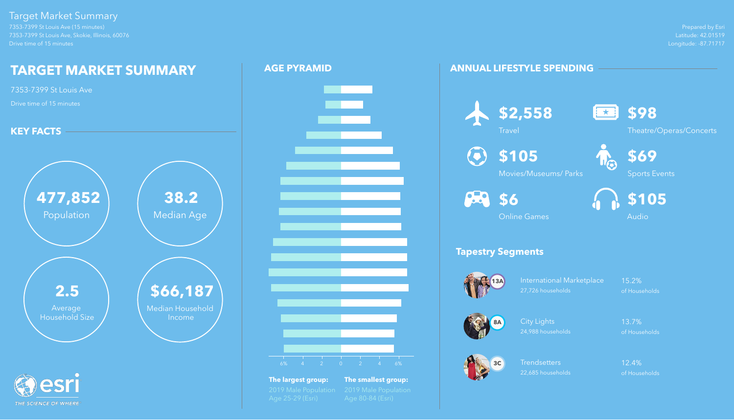Prepared by Esri Latitude: 42.01519 Longitude: -87.71717

7353-7399 St Louis Ave (15 minutes) 7353-7399 St Louis Ave, Skokie, Illinois, 60076 Drive time of 15 minutes

> International Marketplace 15.2% 27,726 households of Households

## Target Market Summary

Trendsetters 12.4% 22,685 households of Households

## **ANNUAL LIFESTYLE SPENDING**

# **Tapestry Segments**

![](_page_20_Picture_12.jpeg)

![](_page_20_Picture_14.jpeg)

City Lights 13.7% 24,988 households of Households

![](_page_20_Picture_16.jpeg)

![](_page_20_Picture_5.jpeg)

![](_page_20_Picture_6.jpeg)

![](_page_20_Picture_20.jpeg)

![](_page_20_Picture_21.jpeg)

![](_page_20_Picture_22.jpeg)

Theatre/Operas/Concerts

**\$105**

Movies/Museums/ Parks

![](_page_20_Picture_23.jpeg)

![](_page_20_Picture_9.jpeg)

Online Games

![](_page_20_Picture_24.jpeg)

![](_page_20_Figure_2.jpeg)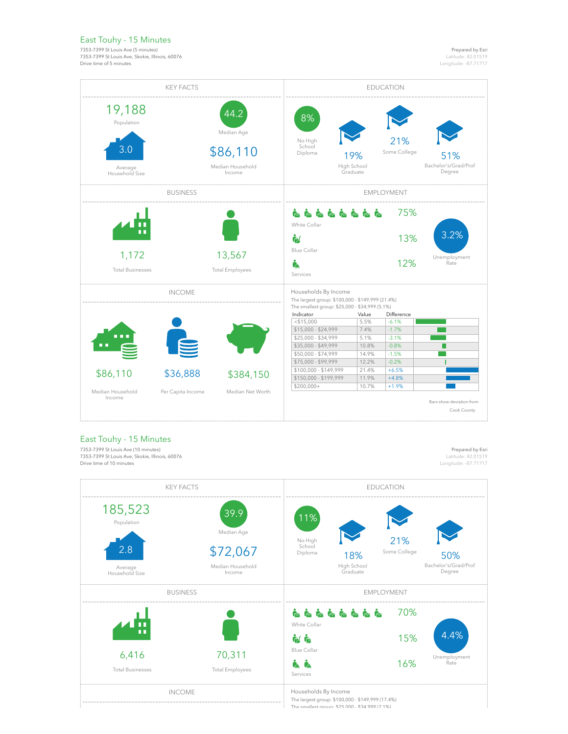## East Touhy - 15 Minutes

7353-7399 St Louis Ave (5 minutes) 7353-7399 St Louis Ave, Skokie, Illinois, 60076 Drive time of 5 minutes

Prepared by Esri Latitude: 42.01519 Longitude: -87.71717

| <b>KEY FACTS</b>                                         |                   |                                                              | <b>EDUCATION</b>                                                                                                           |                                |                     |                                         |
|----------------------------------------------------------|-------------------|--------------------------------------------------------------|----------------------------------------------------------------------------------------------------------------------------|--------------------------------|---------------------|-----------------------------------------|
| 19,188<br>Population<br>3.0<br>Average<br>Household Size |                   | 44.2<br>Median Age<br>\$86,110<br>Median Household<br>Income | 8%<br>No High<br>School<br>Diploma                                                                                         | 19%<br>High School<br>Graduate | 21%<br>Some College | 51%<br>Bachelor's/Grad/Prof<br>Degree   |
|                                                          | <b>EMPLOYMENT</b> |                                                              |                                                                                                                            |                                |                     |                                         |
|                                                          |                   |                                                              | ß.<br>White Collar                                                                                                         | <b>RRRRRRRR</b>                | 75%                 |                                         |
|                                                          |                   |                                                              | Ġ/                                                                                                                         |                                | 13%                 | 3.2%                                    |
| 1,172<br><b>Total Businesses</b>                         |                   | 13,567<br><b>Total Employees</b>                             | <b>Blue Collar</b><br>ė.<br>Services                                                                                       |                                | 12%                 | Unemployment<br>Rate                    |
| <b>INCOME</b>                                            |                   |                                                              | Households By Income<br>The largest group: \$100,000 - \$149,999 (21.4%)<br>The smallest group: \$25,000 - \$34,999 (5.1%) |                                |                     |                                         |
|                                                          |                   |                                                              | Indicator                                                                                                                  | Value                          | Difference          |                                         |
|                                                          |                   |                                                              | $<$ \$15.000                                                                                                               | 5.5%                           | $-6.1%$             |                                         |
|                                                          |                   |                                                              | \$15,000 - \$24,999                                                                                                        | 7.4%                           | $-1.7%$             |                                         |
|                                                          |                   |                                                              | \$25,000 - \$34,999                                                                                                        | 5.1%                           | $-3.1%$             |                                         |
|                                                          |                   |                                                              | \$35,000 - \$49,999                                                                                                        | 10.8%                          | $-0.8%$             |                                         |
|                                                          |                   |                                                              | \$50,000 - \$74,999                                                                                                        | 14.9%                          | $-1.5%$             |                                         |
|                                                          |                   |                                                              | \$75,000 - \$99,999                                                                                                        | 12.2%                          | $-0.2%$             |                                         |
|                                                          |                   |                                                              | \$100,000 - \$149,999                                                                                                      | 21.4%                          | $+6.5%$             |                                         |
| \$86,110                                                 | \$36,888          | \$384,150                                                    | \$150,000 - \$199,999                                                                                                      | 11.9%                          | $+4.8%$             |                                         |
| Median Household                                         |                   | Median Net Worth                                             | $$200,000+$                                                                                                                | 10.7%                          | $+1.9%$             |                                         |
| Income                                                   | Per Capita Income |                                                              |                                                                                                                            |                                |                     | Bars show deviation from<br>Cook County |

## East Touhy - 15 Minutes

7353-7399 St Louis Ave (10 minutes) 7353-7399 St Louis Ave, Skokie, Illinois, 60076 Drive time of 10 minutes

Prepared by Esri

-1

Latitude: 42.01519 Longitude: -87.71717

![](_page_21_Figure_8.jpeg)